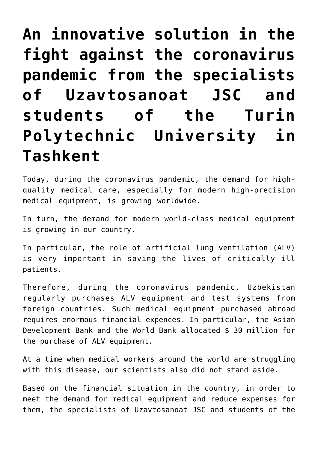## **[An innovative solution in the](https://polito.uz/7023/) [fight against the coronavirus](https://polito.uz/7023/) [pandemic from the specialists](https://polito.uz/7023/) [of Uzavtosanoat JSC and](https://polito.uz/7023/) [students of the Turin](https://polito.uz/7023/) [Polytechnic University in](https://polito.uz/7023/) [Tashkent](https://polito.uz/7023/)**

Today, during the coronavirus pandemic, the demand for highquality medical care, especially for modern high-precision medical equipment, is growing worldwide.

In turn, the demand for modern world-class medical equipment is growing in our country.

In particular, the role of artificial lung ventilation (ALV) is very important in saving the lives of critically ill patients.

Therefore, during the coronavirus pandemic, Uzbekistan regularly purchases ALV equipment and test systems from foreign countries. Such medical equipment purchased abroad requires enormous financial expences. In particular, the Asian Development Bank and the World Bank allocated \$ 30 million for the purchase of ALV equipment.

At a time when medical workers around the world are struggling with this disease, our scientists also did not stand aside.

Based on the financial situation in the country, in order to meet the demand for medical equipment and reduce expenses for them, the specialists of Uzavtosanoat JSC and students of the